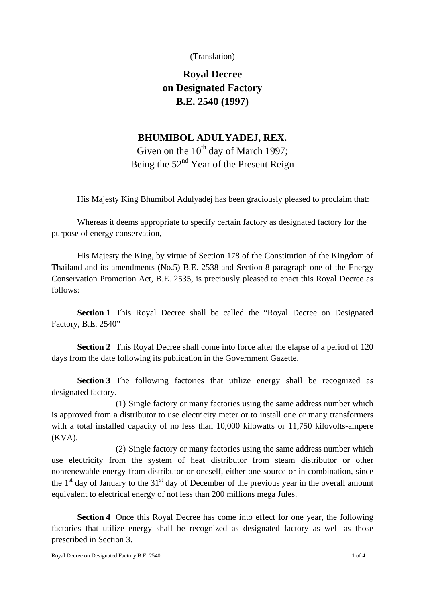(Translation)

**Royal Decree on Designated Factory B.E. 2540 (1997)** 

 $\overline{a}$ 

## **BHUMIBOL ADULYADEJ, REX.**

Given on the  $10^{th}$  day of March 1997; Being the  $52<sup>nd</sup>$  Year of the Present Reign

His Majesty King Bhumibol Adulyadej has been graciously pleased to proclaim that:

 Whereas it deems appropriate to specify certain factory as designated factory for the purpose of energy conservation,

 His Majesty the King, by virtue of Section 178 of the Constitution of the Kingdom of Thailand and its amendments (No.5) B.E. 2538 and Section 8 paragraph one of the Energy Conservation Promotion Act, B.E. 2535, is preciously pleased to enact this Royal Decree as follows:

**Section 1** This Royal Decree shall be called the "Royal Decree on Designated Factory, B.E. 2540"

**Section 2** This Royal Decree shall come into force after the elapse of a period of 120 days from the date following its publication in the Government Gazette.

**Section 3** The following factories that utilize energy shall be recognized as designated factory.

(1) Single factory or many factories using the same address number which is approved from a distributor to use electricity meter or to install one or many transformers with a total installed capacity of no less than 10,000 kilowatts or 11,750 kilovolts-ampere (KVA).

(2) Single factory or many factories using the same address number which use electricity from the system of heat distributor from steam distributor or other nonrenewable energy from distributor or oneself, either one source or in combination, since the  $1<sup>st</sup>$  day of January to the  $31<sup>st</sup>$  day of December of the previous year in the overall amount equivalent to electrical energy of not less than 200 millions mega Jules.

**Section 4** Once this Royal Decree has come into effect for one year, the following factories that utilize energy shall be recognized as designated factory as well as those prescribed in Section 3.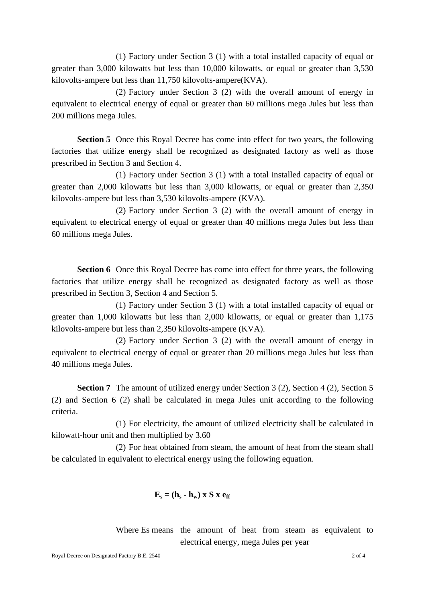(1) Factory under Section 3 (1) with a total installed capacity of equal or greater than 3,000 kilowatts but less than 10,000 kilowatts, or equal or greater than 3,530 kilovolts-ampere but less than 11,750 kilovolts-ampere(KVA).

(2) Factory under Section 3 (2) with the overall amount of energy in equivalent to electrical energy of equal or greater than 60 millions mega Jules but less than 200 millions mega Jules.

**Section 5** Once this Royal Decree has come into effect for two years, the following factories that utilize energy shall be recognized as designated factory as well as those prescribed in Section 3 and Section 4.

(1) Factory under Section 3 (1) with a total installed capacity of equal or greater than 2,000 kilowatts but less than 3,000 kilowatts, or equal or greater than 2,350 kilovolts-ampere but less than 3,530 kilovolts-ampere (KVA).

(2) Factory under Section 3 (2) with the overall amount of energy in equivalent to electrical energy of equal or greater than 40 millions mega Jules but less than 60 millions mega Jules.

**Section 6** Once this Royal Decree has come into effect for three years, the following factories that utilize energy shall be recognized as designated factory as well as those prescribed in Section 3, Section 4 and Section 5.

(1) Factory under Section 3 (1) with a total installed capacity of equal or greater than 1,000 kilowatts but less than 2,000 kilowatts, or equal or greater than 1,175 kilovolts-ampere but less than 2,350 kilovolts-ampere (KVA).

(2) Factory under Section 3 (2) with the overall amount of energy in equivalent to electrical energy of equal or greater than 20 millions mega Jules but less than 40 millions mega Jules.

**Section 7** The amount of utilized energy under Section 3 (2), Section 4 (2), Section 5 (2) and Section 6 (2) shall be calculated in mega Jules unit according to the following criteria.

(1) For electricity, the amount of utilized electricity shall be calculated in kilowatt-hour unit and then multiplied by 3.60

(2) For heat obtained from steam, the amount of heat from the steam shall be calculated in equivalent to electrical energy using the following equation.

## $\mathbf{E}_s = (\mathbf{h}_s - \mathbf{h}_w) \times \mathbf{S} \times \mathbf{e}_{ff}$

Where Es means the amount of heat from steam as equivalent to electrical energy, mega Jules per year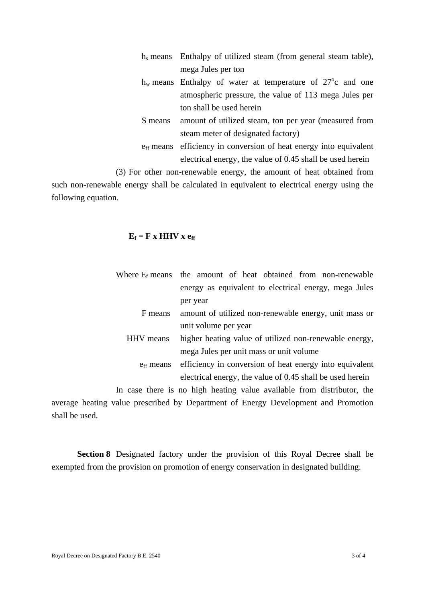|         | $h_s$ means Enthalpy of utilized steam (from general steam table),            |
|---------|-------------------------------------------------------------------------------|
|         | mega Jules per ton                                                            |
|         | $h_w$ means Enthalpy of water at temperature of 27 <sup>o</sup> c and one     |
|         | atmospheric pressure, the value of 113 mega Jules per                         |
|         | ton shall be used herein                                                      |
| S means | amount of utilized steam, ton per year (measured from                         |
|         | steam meter of designated factory)                                            |
|         | $e_{\text{ff}}$ means efficiency in conversion of heat energy into equivalent |
|         | electrical energy, the value of 0.45 shall be used herein                     |
|         |                                                                               |

(3) For other non-renewable energy, the amount of heat obtained from

such non-renewable energy shall be calculated in equivalent to electrical energy using the following equation.

## $E_f = F x HHV x e_{ff}$

|                       | Where $E_f$ means the amount of heat obtained from non-renewable |
|-----------------------|------------------------------------------------------------------|
|                       | energy as equivalent to electrical energy, mega Jules            |
|                       | per year                                                         |
| F means               | amount of utilized non-renewable energy, unit mass or            |
|                       | unit volume per year                                             |
| HHV means             | higher heating value of utilized non-renewable energy,           |
|                       | mega Jules per unit mass or unit volume                          |
| e <sub>ff</sub> means | efficiency in conversion of heat energy into equivalent          |
|                       | electrical energy, the value of 0.45 shall be used herein        |

In case there is no high heating value available from distributor, the average heating value prescribed by Department of Energy Development and Promotion shall be used.

**Section 8** Designated factory under the provision of this Royal Decree shall be exempted from the provision on promotion of energy conservation in designated building.